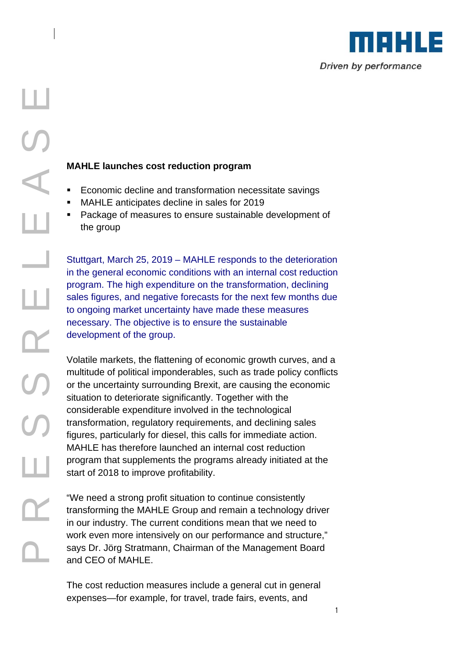

- Economic decline and transformation necessitate savings
- MAHLE anticipates decline in sales for 2019
- Package of measures to ensure sustainable development of the group

Stuttgart, March 25, 2019 – MAHLE responds to the deterioration in the general economic conditions with an internal cost reduction program. The high expenditure on the transformation, declining sales figures, and negative forecasts for the next few months due to ongoing market uncertainty have made these measures necessary. The objective is to ensure the sustainable development of the group.

**PARTIC SCONDIG CONTROM CONTROM CONTROM CONTROM CONTROM CONTROM CONTROM CONTROM CONTROM CONTROM CONTROM CONTROM CONTROM CONTROM CONTROM CONTROM CONTROM CONTROM CONTROM CONTROM CONTROM CONTROM CONTROM CONTROM CONTROM CONTRO** Volatile markets, the flattening of economic growth curves, and a multitude of political imponderables, such as trade policy conflicts or the uncertainty surrounding Brexit, are causing the economic situation to deteriorate significantly. Together with the considerable expenditure involved in the technological transformation, regulatory requirements, and declining sales figures, particularly for diesel, this calls for immediate action. MAHLE has therefore launched an internal cost reduction program that supplements the programs already initiated at the start of 2018 to improve profitability.

"We need a strong profit situation to continue consistently transforming the MAHLE Group and remain a technology driver in our industry. The current conditions mean that we need to work even more intensively on our performance and structure," says Dr. Jörg Stratmann, Chairman of the Management Board and CEO of MAHLE.

The cost reduction measures include a general cut in general expenses—for example, for travel, trade fairs, events, and